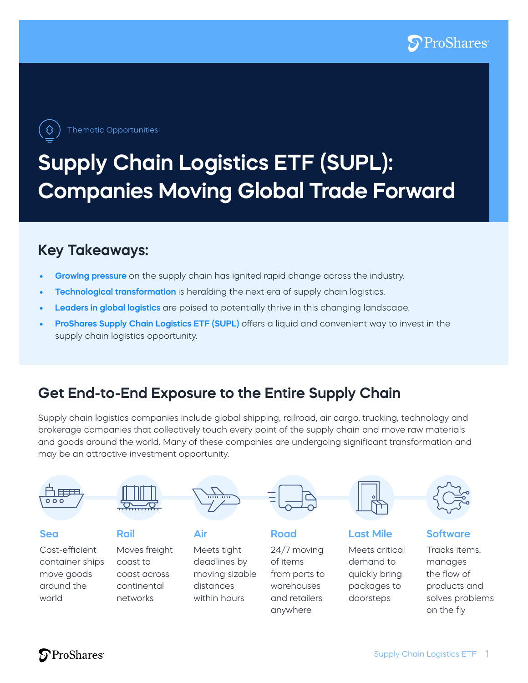

Thematic Opportunities

# **Supply Chain Logistics ETF (SUPL): Companies Moving Global Trade Forward**

### **Key Takeaways:**

- **• Growing pressure** on the supply chain has ignited rapid change across the industry.
- **• Technological transformation** is heralding the next era of supply chain logistics.
- **• Leaders in global logistics** are poised to potentially thrive in this changing landscape.
- **• ProShares Supply Chain Logistics ETF (SUPL)** offers a liquid and convenient way to invest in the supply chain logistics opportunity.

### **Get End-to-End Exposure to the Entire Supply Chain**

Supply chain logistics companies include global shipping, railroad, air cargo, trucking, technology and brokerage companies that collectively touch every point of the supply chain and move raw materials and goods around the world. Many of these companies are undergoing significant transformation and may be an attractive investment opportunity.

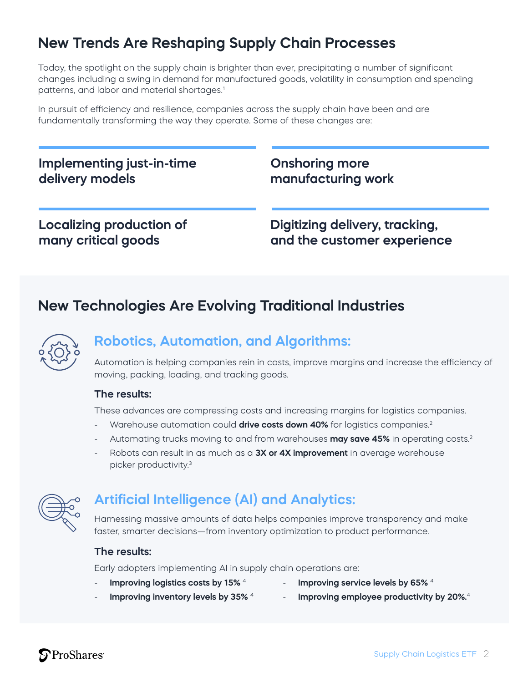# **New Trends Are Reshaping Supply Chain Processes**

Today, the spotlight on the supply chain is brighter than ever, precipitating a number of significant changes including a swing in demand for manufactured goods, volatility in consumption and spending patterns, and labor and material shortages.<sup>1</sup>

In pursuit of efficiency and resilience, companies across the supply chain have been and are fundamentally transforming the way they operate. Some of these changes are:

#### **Implementing just-in-time delivery models**

**Onshoring more manufacturing work**

#### **Localizing production of many critical goods**

**Digitizing delivery, tracking, and the customer experience**

### **New Technologies Are Evolving Traditional Industries**



#### **Robotics, Automation, and Algorithms:**

Automation is helping companies rein in costs, improve margins and increase the efficiency of moving, packing, loading, and tracking goods.

#### **The results:**

These advances are compressing costs and increasing margins for logistics companies.

- Warehouse automation could **drive costs down 40%** for logistics companies.2
- Automating trucks moving to and from warehouses **may save 45%** in operating costs.2
- Robots can result in as much as a **3X or 4X improvement** in average warehouse picker productivity.3



#### **Artificial Intelligence (AI) and Analytics:**

Harnessing massive amounts of data helps companies improve transparency and make faster, smarter decisions—from inventory optimization to product performance.

#### **The results:**

Early adopters implementing AI in supply chain operations are:

- **Improving logistics costs by 15%** <sup>4</sup>
- Improving service levels by 65%<sup>4</sup>
- **Improving inventory levels by 35%** <sup>4</sup>
- **Improving employee productivity by 20%.**<sup>4</sup>

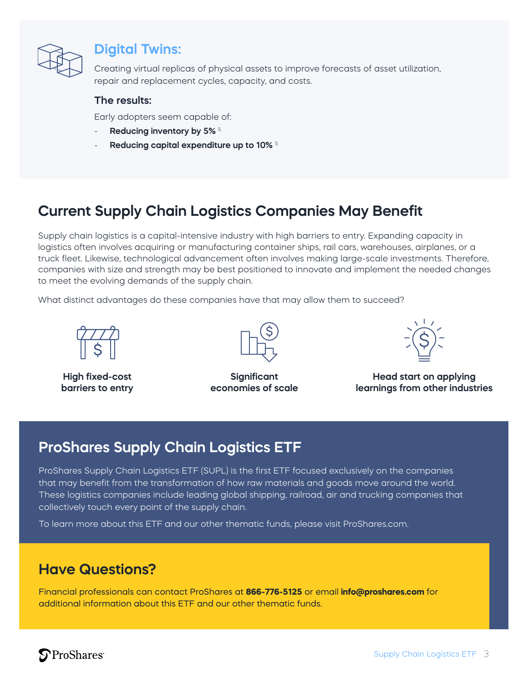

#### **Digital Twins:**

Creating virtual replicas of physical assets to improve forecasts of asset utilization, repair and replacement cycles, capacity, and costs.

#### **The results:**

Early adopters seem capable of:

- **Reducing inventory by 5%** <sup>5</sup>
- **Reducing capital expenditure up to 10%** <sup>5</sup>

## **Current Supply Chain Logistics Companies May Benefit**

Supply chain logistics is a capital-intensive industry with high barriers to entry. Expanding capacity in logistics often involves acquiring or manufacturing container ships, rail cars, warehouses, airplanes, or a truck fleet. Likewise, technological advancement often involves making large-scale investments. Therefore, companies with size and strength may be best positioned to innovate and implement the needed changes to meet the evolving demands of the supply chain.

What distinct advantages do these companies have that may allow them to succeed?



**High fixed-cost barriers to entry**



**Significant economies of scale**



**Head start on applying learnings from other industries**

### **ProShares Supply Chain Logistics ETF**

ProShares Supply Chain Logistics ETF (SUPL) is the first ETF focused exclusively on the companies that may benefit from the transformation of how raw materials and goods move around the world. These logistics companies include leading global shipping, railroad, air and trucking companies that collectively touch every point of the supply chain.

To learn more about this ETF and our other thematic funds, please visit ProShares.com.

#### **Have Questions?**

Financial professionals can contact ProShares at **866-776-5125** or email **info@proshares.com** for additional information about this ETF and our other thematic funds.